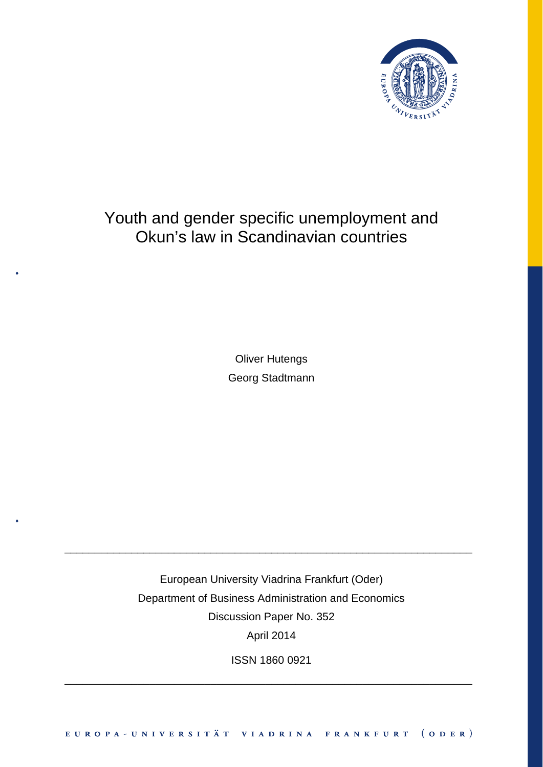

## Youth and gender specific unemployment and Okun's law in Scandinavian countries

Oliver Hutengs Georg Stadtmann

European University Viadrina Frankfurt (Oder) Department of Business Administration and Economics Discussion Paper No. 352 April 2014

\_\_\_\_\_\_\_\_\_\_\_\_\_\_\_\_\_\_\_\_\_\_\_\_\_\_\_\_\_\_\_\_\_\_\_\_\_\_\_\_\_\_\_\_\_\_\_\_\_\_\_\_\_\_\_\_\_\_\_\_\_\_\_\_\_\_\_

ISSN 1860 0921

\_\_\_\_\_\_\_\_\_\_\_\_\_\_\_\_\_\_\_\_\_\_\_\_\_\_\_\_\_\_\_\_\_\_\_\_\_\_\_\_\_\_\_\_\_\_\_\_\_\_\_\_\_\_\_\_\_\_\_\_\_\_\_\_\_\_\_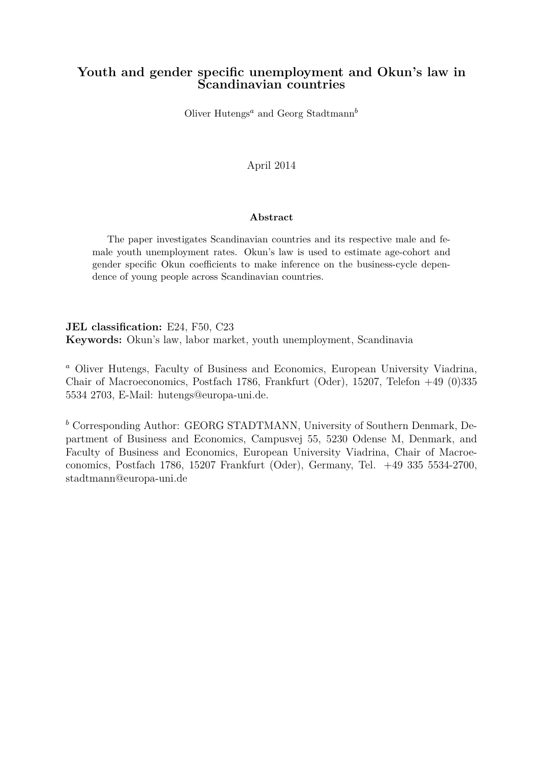### **Youth and gender specific unemployment and Okun's law in Scandinavian countries**

Oliver Hutengs*<sup>a</sup>* and Georg Stadtmann*<sup>b</sup>*

April 2014

#### **Abstract**

The paper investigates Scandinavian countries and its respective male and female youth unemployment rates. Okun's law is used to estimate age-cohort and gender specific Okun coefficients to make inference on the business-cycle dependence of young people across Scandinavian countries.

**JEL classification:** E24, F50, C23 **Keywords:** Okun's law, labor market, youth unemployment, Scandinavia

*<sup>a</sup>* Oliver Hutengs, Faculty of Business and Economics, European University Viadrina, Chair of Macroeconomics, Postfach 1786, Frankfurt (Oder), 15207, Telefon +49 (0)335 5534 2703, E-Mail: hutengs@europa-uni.de.

*<sup>b</sup>* Corresponding Author: GEORG STADTMANN, University of Southern Denmark, Department of Business and Economics, Campusvej 55, 5230 Odense M, Denmark, and Faculty of Business and Economics, European University Viadrina, Chair of Macroeconomics, Postfach 1786, 15207 Frankfurt (Oder), Germany, Tel. +49 335 5534-2700, stadtmann@europa-uni.de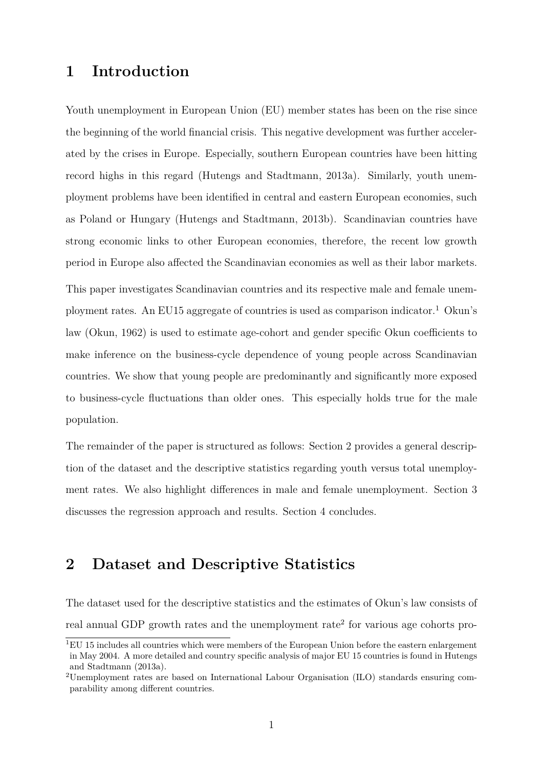### **1 Introduction**

Youth unemployment in European Union (EU) member states has been on the rise since the beginning of the world financial crisis. This negative development was further accelerated by the crises in Europe. Especially, southern European countries have been hitting record highs in this regard (Hutengs and Stadtmann, 2013a). Similarly, youth unemployment problems have been identified in central and eastern European economies, such as Poland or Hungary (Hutengs and Stadtmann, 2013b). Scandinavian countries have strong economic links to other European economies, therefore, the recent low growth period in Europe also affected the Scandinavian economies as well as their labor markets. This paper investigates Scandinavian countries and its respective male and female unemployment rates. An EU15 aggregate of countries is used as comparison indicator.<sup>1</sup> Okun's law (Okun, 1962) is used to estimate age-cohort and gender specific Okun coefficients to make inference on the business-cycle dependence of young people across Scandinavian countries. We show that young people are predominantly and significantly more exposed to business-cycle fluctuations than older ones. This especially holds true for the male population.

The remainder of the paper is structured as follows: Section 2 provides a general description of the dataset and the descriptive statistics regarding youth versus total unemployment rates. We also highlight differences in male and female unemployment. Section 3 discusses the regression approach and results. Section 4 concludes.

## **2 Dataset and Descriptive Statistics**

The dataset used for the descriptive statistics and the estimates of Okun's law consists of real annual GDP growth rates and the unemployment rate<sup>2</sup> for various age cohorts pro-

<sup>&</sup>lt;sup>1</sup>EU 15 includes all countries which were members of the European Union before the eastern enlargement in May 2004. A more detailed and country specific analysis of major EU 15 countries is found in Hutengs and Stadtmann (2013a).

<sup>2</sup>Unemployment rates are based on International Labour Organisation (ILO) standards ensuring comparability among different countries.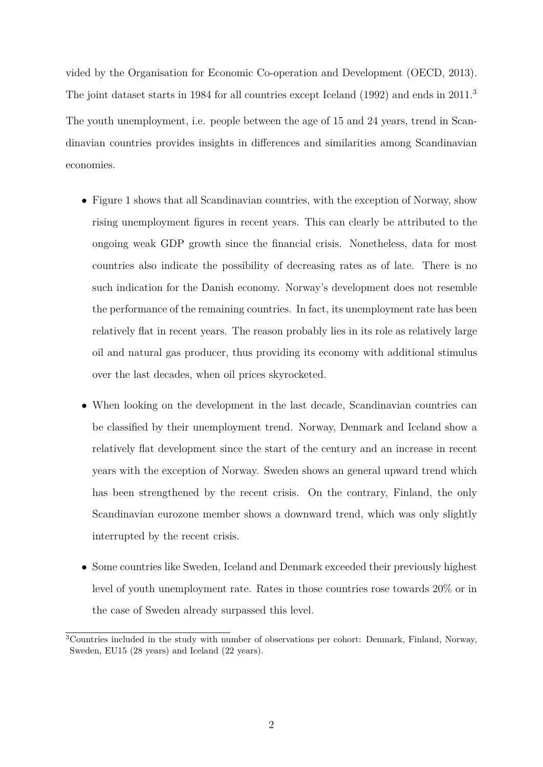vided by the Organisation for Economic Co-operation and Development (OECD, 2013). The joint dataset starts in 1984 for all countries except Iceland (1992) and ends in 2011.<sup>3</sup> The youth unemployment, i.e. people between the age of 15 and 24 years, trend in Scandinavian countries provides insights in differences and similarities among Scandinavian economies.

- Figure 1 shows that all Scandinavian countries, with the exception of Norway, show rising unemployment figures in recent years. This can clearly be attributed to the ongoing weak GDP growth since the financial crisis. Nonetheless, data for most countries also indicate the possibility of decreasing rates as of late. There is no such indication for the Danish economy. Norway's development does not resemble the performance of the remaining countries. In fact, its unemployment rate has been relatively flat in recent years. The reason probably lies in its role as relatively large oil and natural gas producer, thus providing its economy with additional stimulus over the last decades, when oil prices skyrocketed.
- When looking on the development in the last decade, Scandinavian countries can be classified by their unemployment trend. Norway, Denmark and Iceland show a relatively flat development since the start of the century and an increase in recent years with the exception of Norway. Sweden shows an general upward trend which has been strengthened by the recent crisis. On the contrary, Finland, the only Scandinavian eurozone member shows a downward trend, which was only slightly interrupted by the recent crisis.
- Some countries like Sweden, Iceland and Denmark exceeded their previously highest level of youth unemployment rate. Rates in those countries rose towards 20% or in the case of Sweden already surpassed this level.

<sup>3</sup>Countries included in the study with number of observations per cohort: Denmark, Finland, Norway, Sweden, EU15 (28 years) and Iceland (22 years).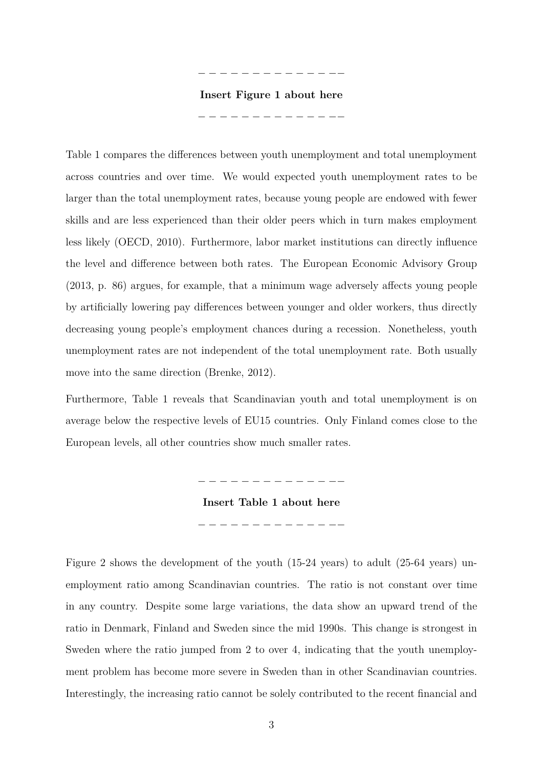− − − − − − − − − − − − −−

#### **Insert Figure 1 about here**

− − − − − − − − − − − − −−

Table 1 compares the differences between youth unemployment and total unemployment across countries and over time. We would expected youth unemployment rates to be larger than the total unemployment rates, because young people are endowed with fewer skills and are less experienced than their older peers which in turn makes employment less likely (OECD, 2010). Furthermore, labor market institutions can directly influence the level and difference between both rates. The European Economic Advisory Group (2013, p. 86) argues, for example, that a minimum wage adversely affects young people by artificially lowering pay differences between younger and older workers, thus directly decreasing young people's employment chances during a recession. Nonetheless, youth unemployment rates are not independent of the total unemployment rate. Both usually move into the same direction (Brenke, 2012).

Furthermore, Table 1 reveals that Scandinavian youth and total unemployment is on average below the respective levels of EU15 countries. Only Finland comes close to the European levels, all other countries show much smaller rates.

− − − − − − − − − − − − −−

**Insert Table 1 about here** − − − − − − − − − − − − −−

Figure 2 shows the development of the youth (15-24 years) to adult (25-64 years) unemployment ratio among Scandinavian countries. The ratio is not constant over time in any country. Despite some large variations, the data show an upward trend of the ratio in Denmark, Finland and Sweden since the mid 1990s. This change is strongest in Sweden where the ratio jumped from 2 to over 4, indicating that the youth unemployment problem has become more severe in Sweden than in other Scandinavian countries. Interestingly, the increasing ratio cannot be solely contributed to the recent financial and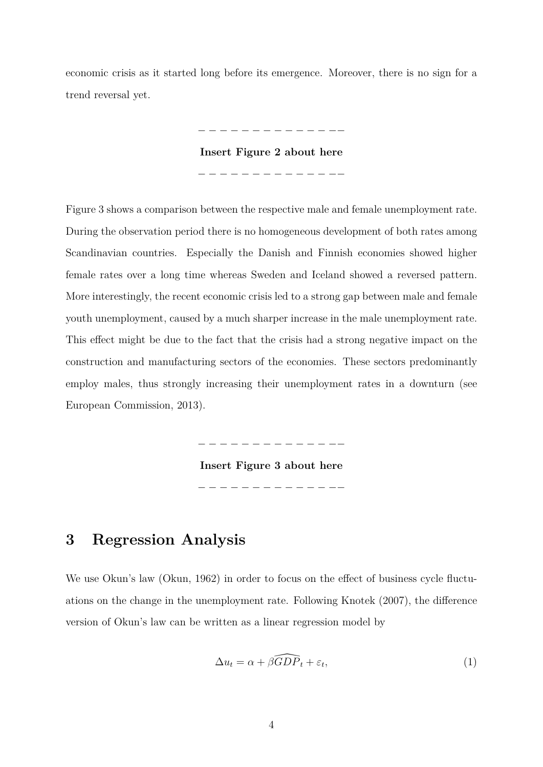economic crisis as it started long before its emergence. Moreover, there is no sign for a trend reversal yet.

**Insert Figure 2 about here**

− − − − − − − − − − − − −−

− − − − − − − − − − − − −−

Figure 3 shows a comparison between the respective male and female unemployment rate. During the observation period there is no homogeneous development of both rates among Scandinavian countries. Especially the Danish and Finnish economies showed higher female rates over a long time whereas Sweden and Iceland showed a reversed pattern. More interestingly, the recent economic crisis led to a strong gap between male and female youth unemployment, caused by a much sharper increase in the male unemployment rate. This effect might be due to the fact that the crisis had a strong negative impact on the construction and manufacturing sectors of the economies. These sectors predominantly employ males, thus strongly increasing their unemployment rates in a downturn (see European Commission, 2013).

− − − − − − − − − − − − −−

**Insert Figure 3 about here** − − − − − − − − − − − − −−

### **3 Regression Analysis**

We use Okun's law (Okun, 1962) in order to focus on the effect of business cycle fluctuations on the change in the unemployment rate. Following Knotek (2007), the difference version of Okun's law can be written as a linear regression model by

$$
\Delta u_t = \alpha + \beta \widehat{GDP}_t + \varepsilon_t,\tag{1}
$$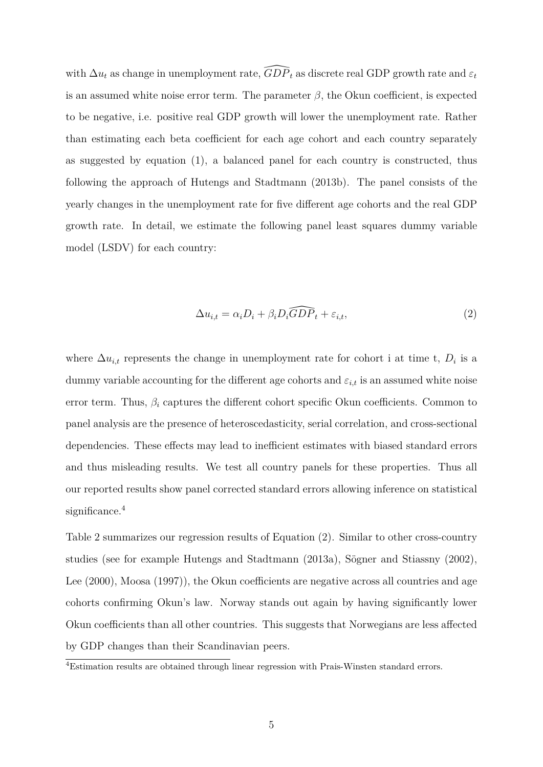with  $\Delta u_t$  as change in unemployment rate,  $\widehat{GDP}_t$  as discrete real GDP growth rate and  $\varepsilon_t$ is an assumed white noise error term. The parameter  $\beta$ , the Okun coefficient, is expected to be negative, i.e. positive real GDP growth will lower the unemployment rate. Rather than estimating each beta coefficient for each age cohort and each country separately as suggested by equation (1), a balanced panel for each country is constructed, thus following the approach of Hutengs and Stadtmann (2013b). The panel consists of the yearly changes in the unemployment rate for five different age cohorts and the real GDP growth rate. In detail, we estimate the following panel least squares dummy variable model (LSDV) for each country:

$$
\Delta u_{i,t} = \alpha_i D_i + \beta_i \widehat{GDP}_t + \varepsilon_{i,t},\tag{2}
$$

where  $\Delta u_{i,t}$  represents the change in unemployment rate for cohort i at time t,  $D_i$  is a dummy variable accounting for the different age cohorts and  $\varepsilon_{i,t}$  is an assumed white noise error term. Thus,  $\beta_i$  captures the different cohort specific Okun coefficients. Common to panel analysis are the presence of heteroscedasticity, serial correlation, and cross-sectional dependencies. These effects may lead to inefficient estimates with biased standard errors and thus misleading results. We test all country panels for these properties. Thus all our reported results show panel corrected standard errors allowing inference on statistical significance.<sup>4</sup>

Table 2 summarizes our regression results of Equation (2). Similar to other cross-country studies (see for example Hutengs and Stadtmann (2013a), Sögner and Stiassny (2002), Lee (2000), Moosa (1997)), the Okun coefficients are negative across all countries and age cohorts confirming Okun's law. Norway stands out again by having significantly lower Okun coefficients than all other countries. This suggests that Norwegians are less affected by GDP changes than their Scandinavian peers.

<sup>4</sup>Estimation results are obtained through linear regression with Prais-Winsten standard errors.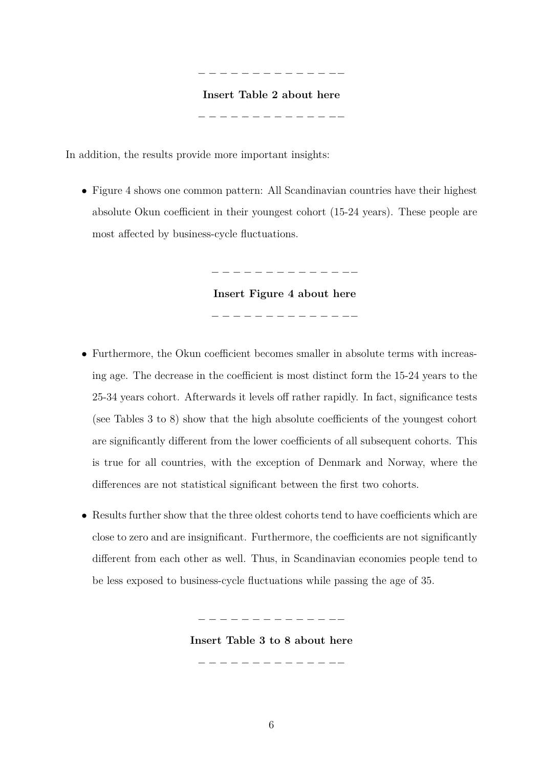# − − − − − − − − − − − − −− **Insert Table 2 about here**

− − − − − − − − − − − − −−

In addition, the results provide more important insights:

• Figure 4 shows one common pattern: All Scandinavian countries have their highest absolute Okun coefficient in their youngest cohort (15-24 years). These people are most affected by business-cycle fluctuations.

> **Insert Figure 4 about here** − − − − − − − − − − − − −−

− − − − − − − − − − − − −−

- Furthermore, the Okun coefficient becomes smaller in absolute terms with increasing age. The decrease in the coefficient is most distinct form the 15-24 years to the 25-34 years cohort. Afterwards it levels off rather rapidly. In fact, significance tests (see Tables 3 to 8) show that the high absolute coefficients of the youngest cohort are significantly different from the lower coefficients of all subsequent cohorts. This is true for all countries, with the exception of Denmark and Norway, where the differences are not statistical significant between the first two cohorts.
- Results further show that the three oldest cohorts tend to have coefficients which are close to zero and are insignificant. Furthermore, the coefficients are not significantly different from each other as well. Thus, in Scandinavian economies people tend to be less exposed to business-cycle fluctuations while passing the age of 35.

− − − − − − − − − − − − −−

**Insert Table 3 to 8 about here**

− − − − − − − − − − − − −−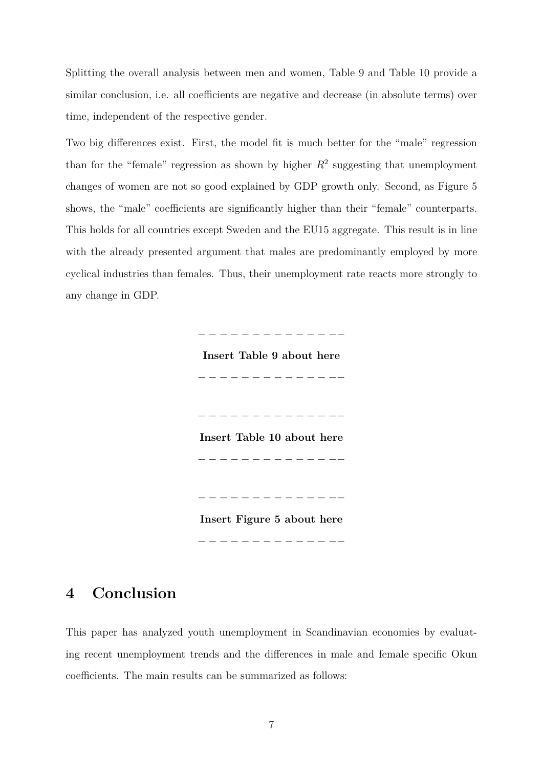Splitting the overall analysis between men and women, Table 9 and Table 10 provide a similar conclusion, i.e. all coefficients are negative and decrease (in absolute terms) over time, independent of the respective gender.

Two big differences exist. First, the model fit is much better for the "male" regression than for the "female" regression as shown by higher  $R^2$  suggesting that unemployment changes of women are not so good explained by GDP growth only. Second, as Figure 5 shows, the "male" coefficients are significantly higher than their "female" counterparts. This holds for all countries except Sweden and the EU15 aggregate. This result is in line with the already presented argument that males are predominantly employed by more cyclical industries than females. Thus, their unemployment rate reacts more strongly to any change in GDP.

− − − − − − − − − − − − −−

**Insert Table 9 about here** − − − − − − − − − − − − −− − − − − − − − − − − − − −− **Insert Table 10 about here** − − − − − − − − − − − − − −− **Insert Figure 5 about here**

− − − − − − − − − − − − −−

### **4 Conclusion**

This paper has analyzed youth unemployment in Scandinavian economies by evaluating recent unemployment trends and the differences in male and female specific Okun coefficients. The main results can be summarized as follows: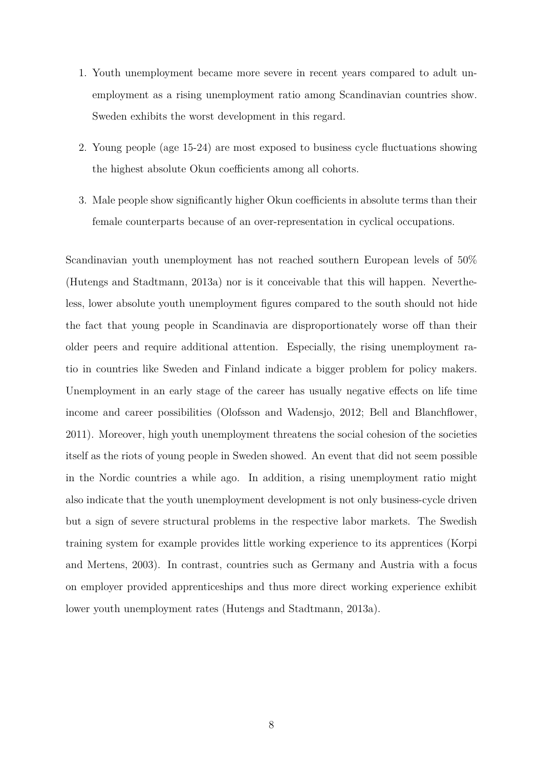- 1. Youth unemployment became more severe in recent years compared to adult unemployment as a rising unemployment ratio among Scandinavian countries show. Sweden exhibits the worst development in this regard.
- 2. Young people (age 15-24) are most exposed to business cycle fluctuations showing the highest absolute Okun coefficients among all cohorts.
- 3. Male people show significantly higher Okun coefficients in absolute terms than their female counterparts because of an over-representation in cyclical occupations.

Scandinavian youth unemployment has not reached southern European levels of 50% (Hutengs and Stadtmann, 2013a) nor is it conceivable that this will happen. Nevertheless, lower absolute youth unemployment figures compared to the south should not hide the fact that young people in Scandinavia are disproportionately worse off than their older peers and require additional attention. Especially, the rising unemployment ratio in countries like Sweden and Finland indicate a bigger problem for policy makers. Unemployment in an early stage of the career has usually negative effects on life time income and career possibilities (Olofsson and Wadensjo, 2012; Bell and Blanchflower, 2011). Moreover, high youth unemployment threatens the social cohesion of the societies itself as the riots of young people in Sweden showed. An event that did not seem possible in the Nordic countries a while ago. In addition, a rising unemployment ratio might also indicate that the youth unemployment development is not only business-cycle driven but a sign of severe structural problems in the respective labor markets. The Swedish training system for example provides little working experience to its apprentices (Korpi and Mertens, 2003). In contrast, countries such as Germany and Austria with a focus on employer provided apprenticeships and thus more direct working experience exhibit lower youth unemployment rates (Hutengs and Stadtmann, 2013a).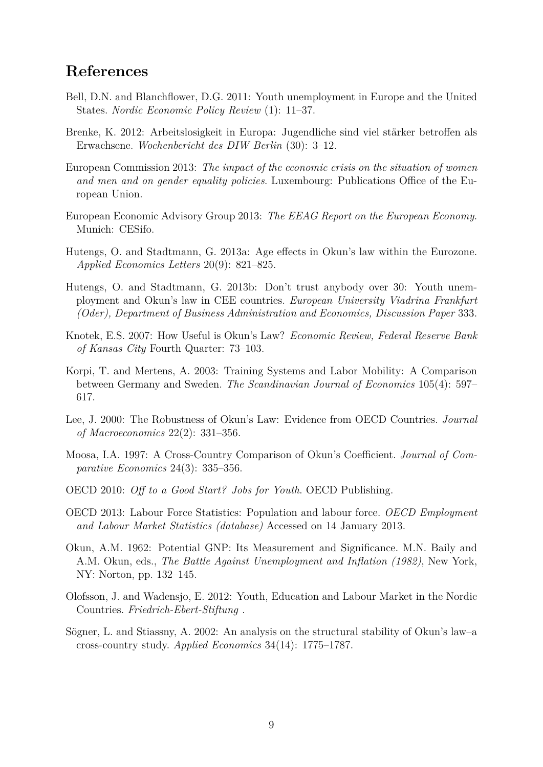### **References**

- Bell, D.N. and Blanchflower, D.G. 2011: Youth unemployment in Europe and the United States. *Nordic Economic Policy Review* (1): 11–37.
- Brenke, K. 2012: Arbeitslosigkeit in Europa: Jugendliche sind viel stärker betroffen als Erwachsene. *Wochenbericht des DIW Berlin* (30): 3–12.
- European Commission 2013: *The impact of the economic crisis on the situation of women and men and on gender equality policies*. Luxembourg: Publications Office of the European Union.
- European Economic Advisory Group 2013: *The EEAG Report on the European Economy*. Munich: CESifo.
- Hutengs, O. and Stadtmann, G. 2013a: Age effects in Okun's law within the Eurozone. *Applied Economics Letters* 20(9): 821–825.
- Hutengs, O. and Stadtmann, G. 2013b: Don't trust anybody over 30: Youth unemployment and Okun's law in CEE countries. *European University Viadrina Frankfurt (Oder), Department of Business Administration and Economics, Discussion Paper* 333.
- Knotek, E.S. 2007: How Useful is Okun's Law? *Economic Review, Federal Reserve Bank of Kansas City* Fourth Quarter: 73–103.
- Korpi, T. and Mertens, A. 2003: Training Systems and Labor Mobility: A Comparison between Germany and Sweden. *The Scandinavian Journal of Economics* 105(4): 597– 617.
- Lee, J. 2000: The Robustness of Okun's Law: Evidence from OECD Countries. *Journal of Macroeconomics* 22(2): 331–356.
- Moosa, I.A. 1997: A Cross-Country Comparison of Okun's Coefficient. *Journal of Comparative Economics* 24(3): 335–356.
- OECD 2010: *Off to a Good Start? Jobs for Youth*. OECD Publishing.
- OECD 2013: Labour Force Statistics: Population and labour force. *OECD Employment and Labour Market Statistics (database)* Accessed on 14 January 2013.
- Okun, A.M. 1962: Potential GNP: Its Measurement and Significance. M.N. Baily and A.M. Okun, eds., *The Battle Against Unemployment and Inflation (1982)*, New York, NY: Norton, pp. 132–145.
- Olofsson, J. and Wadensjo, E. 2012: Youth, Education and Labour Market in the Nordic Countries. *Friedrich-Ebert-Stiftung* .
- Sögner, L. and Stiassny, A. 2002: An analysis on the structural stability of Okun's law–a cross-country study. *Applied Economics* 34(14): 1775–1787.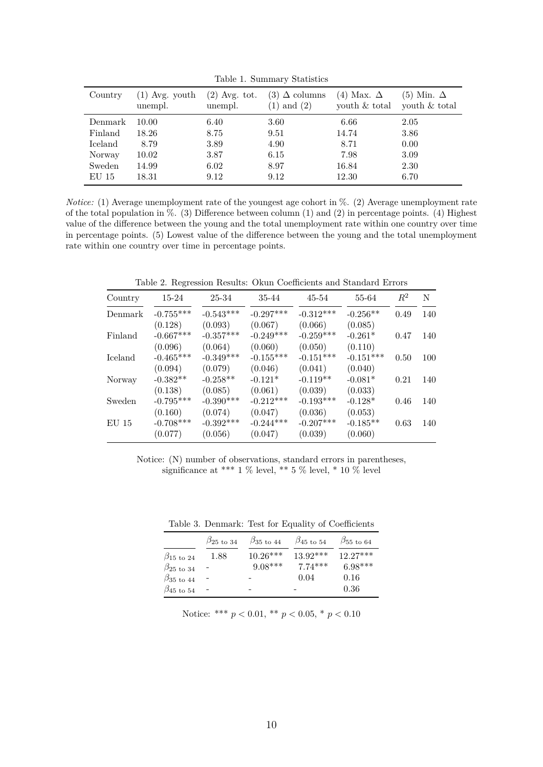| Country            | $(1)$ Avg. youth<br>unempl. | $(2)$ Avg. tot.<br>unempl. | (3) $\Delta$ columns<br>$(1)$ and $(2)$ | (4) Max. $\Delta$<br>youth & total | $(5)$ Min. $\Delta$<br>youth & total |
|--------------------|-----------------------------|----------------------------|-----------------------------------------|------------------------------------|--------------------------------------|
| Denmark<br>Finland | 10.00<br>18.26              | 6.40<br>8.75               | 3.60<br>9.51                            | 6.66<br>14.74                      | 2.05<br>3.86                         |
| Iceland            | 8.79                        | 3.89                       | 4.90                                    | 8.71                               | 0.00                                 |
| Norway             | 10.02                       | 3.87                       | 6.15                                    | 7.98                               | 3.09                                 |
| Sweden             | 14.99                       | 6.02                       | 8.97                                    | 16.84                              | 2.30                                 |
| $EU$ 15            | 18.31                       | 9.12                       | 9.12                                    | 12.30                              | 6.70                                 |
|                    |                             |                            |                                         |                                    |                                      |

Table 1. Summary Statistics

*Notice:* (1) Average unemployment rate of the youngest age cohort in %. (2) Average unemployment rate of the total population in  $\%$ . (3) Difference between column (1) and (2) in percentage points. (4) Highest value of the difference between the young and the total unemployment rate within one country over time in percentage points. (5) Lowest value of the difference between the young and the total unemployment rate within one country over time in percentage points.

Table 2. Regression Results: Okun Coefficients and Standard Errors

| Country | 15-24       | 25-34       | 35-44       | 45-54       | 55-64       | $R^2$ | N   |
|---------|-------------|-------------|-------------|-------------|-------------|-------|-----|
| Denmark | $-0.755***$ | $-0.543***$ | $-0.297***$ | $-0.312***$ | $-0.256**$  | 0.49  | 140 |
|         | (0.128)     | (0.093)     | (0.067)     | (0.066)     | (0.085)     |       |     |
| Finland | $-0.667***$ | $-0.357***$ | $-0.249***$ | $-0.259***$ | $-0.261*$   | 0.47  | 140 |
|         | (0.096)     | (0.064)     | (0.060)     | (0.050)     | (0.110)     |       |     |
| Iceland | $-0.465***$ | $-0.349***$ | $-0.155***$ | $-0.151***$ | $-0.151***$ | 0.50  | 100 |
|         | (0.094)     | (0.079)     | (0.046)     | (0.041)     | (0.040)     |       |     |
| Norway  | $-0.382**$  | $-0.258**$  | $-0.121*$   | $-0.119**$  | $-0.081*$   | 0.21  | 140 |
|         | (0.138)     | (0.085)     | (0.061)     | (0.039)     | (0.033)     |       |     |
| Sweden  | $-0.795***$ | $-0.390***$ | $-0.212***$ | $-0.193***$ | $-0.128*$   | 0.46  | 140 |
|         | (0.160)     | (0.074)     | (0.047)     | (0.036)     | (0.053)     |       |     |
| $EU$ 15 | $-0.708***$ | $-0.392***$ | $-0.244***$ | $-0.207***$ | $-0.185**$  | 0.63  | 140 |
|         | (0.077)     | (0.056)     | (0.047)     | (0.039)     | (0.060)     |       |     |

Notice: (N) number of observations, standard errors in parentheses, significance at \*\*\* 1 % level, \*\* 5 % level, \* 10 % level

|                                 | $\beta_{25 \text{ to } 34}$ | $\beta_{35 \text{ to } 44}$ | $\beta_{45 \text{ to } 54}$ | $\beta_{55\; \mathrm{to}\; 64}$ |
|---------------------------------|-----------------------------|-----------------------------|-----------------------------|---------------------------------|
| $\beta_{15}$ to 24              | 1.88                        | $10.26***$                  | $13.92***$                  | $12.27***$                      |
| $\beta_{25\; \mathrm{to}\; 34}$ |                             | $9.08***$                   | $7.74***$                   | $6.98***$                       |
| $\beta_{35 \text{ to } 44}$     |                             |                             | 0.04                        | 0.16                            |
| $\beta_{45\text{ to }54}$       |                             |                             |                             | 0.36                            |

Table 3. Denmark: Test for Equality of Coefficients

Notice: \*\*\*  $p < 0.01$ , \*\*  $p < 0.05$ , \*  $p < 0.10$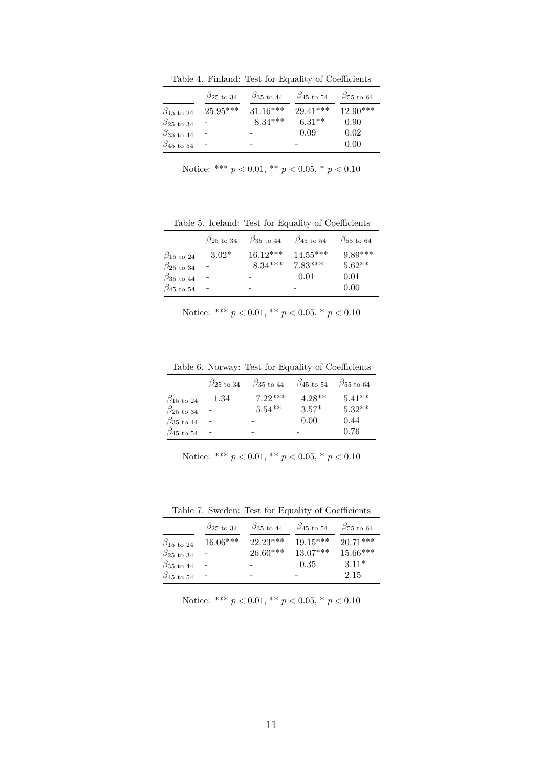Table 4. Finland: Test for Equality of Coefficients

|                                 | $\beta_{25\; \rm to\; 34}$ | $\beta_{35 \text{ to } 44}$ | $\beta_{45\; \rm to\; 54}$ | $\beta_{55\; \mathrm{to}\; 64}$ |
|---------------------------------|----------------------------|-----------------------------|----------------------------|---------------------------------|
| $\beta_{15}$ to 24              | $25.95***$                 | $31.16***$                  | $29.41***$                 | $12.90***$                      |
| $\beta_{25\; \mathrm{to}\; 34}$ |                            | $8.34***$                   | $6.31**$                   | 0.90                            |
| $\beta_{35}$ to 44              |                            |                             | 0.09                       | 0.02                            |
| $\beta_{45\; \rm to\; 54}$      |                            |                             |                            | 0.00                            |

Notice: \*\*\*  $p < 0.01$ , \*\*  $p < 0.05$ , \*  $p < 0.10$ 

Table 5. Iceland: Test for Equality of Coefficients

|                                 | $\beta_{25\; \mathrm{to}\; 34}$ | $\beta_{35 \text{ to } 44}$ | $\beta_{45\; \rm to\; 54}$ | $\beta_{55\; \mathrm{to}\; 64}$ |
|---------------------------------|---------------------------------|-----------------------------|----------------------------|---------------------------------|
| $\beta_{15 \text{ to } 24}$     | $3.02*$                         | $16.12***$                  | $14.55***$                 | $9.89***$                       |
| $\beta_{25\; \mathrm{to}\; 34}$ |                                 | $8.34***$                   | $7.83***$                  | $5.62**$                        |
| $\beta_{35 \text{ to } 44}$     |                                 |                             | 0.01                       | 0.01                            |
| $\beta_{45\; \rm to\; 54}$      |                                 |                             |                            | 0.00                            |

Notice: 
$$
***\ p < 0.01
$$
,  $**\ p < 0.05$ ,  $*$   $p < 0.10$ 

Table 6. Norway: Test for Equality of Coefficients

|                                | $\beta_{25 \text{ to } 34}$ | $\beta_{35 \text{ to } 44}$ | $\beta_{45 \text{ to } 54}$ | $\beta_{55 \text{ to } 64}$ |
|--------------------------------|-----------------------------|-----------------------------|-----------------------------|-----------------------------|
| $\beta_{15}$ to 24             | 1.34                        | $7.22***$                   | $4.28**$                    | $5.41**$                    |
| $\beta_{25 \text{ to } 34}$    |                             | $5.54**$                    | $3.57*$                     | $5.32**$                    |
| $\beta_{35\; \text{to} \; 44}$ |                             |                             | 0.00                        | 0.44                        |
| $\beta_{45\; \rm to\; 54}$     |                             |                             |                             | 0.76                        |

Notice: \*\*\*  $p < 0.01$ , \*\*  $p < 0.05$ , \*  $p < 0.10$ 

Table 7. Sweden: Test for Equality of Coefficients

|                                | $\beta_{25 \text{ to } 34}$ | $\beta_{35 \text{ to } 44}$ | $\beta_{45}$ to 54 | $\beta_{55\; \mathrm{to}\; 64}$ |
|--------------------------------|-----------------------------|-----------------------------|--------------------|---------------------------------|
| $\beta_{15 \text{ to } 24}$    | $16.06***$                  | $22.23***$                  | $19.15***$         | $20.71***$                      |
| $\beta_{25\text{ to }34}$      |                             | $26.60***$                  | $13.07***$         | $15.66***$                      |
| $\beta_{35\; \text{to} \; 44}$ |                             |                             | 0.35               | $3.11*$                         |
| $\beta_{45\; \rm to\; 54}$     |                             |                             |                    | 2.15                            |

Notice: \*\*\*  $p < 0.01$ , \*\*  $p < 0.05$ , \*  $p < 0.10$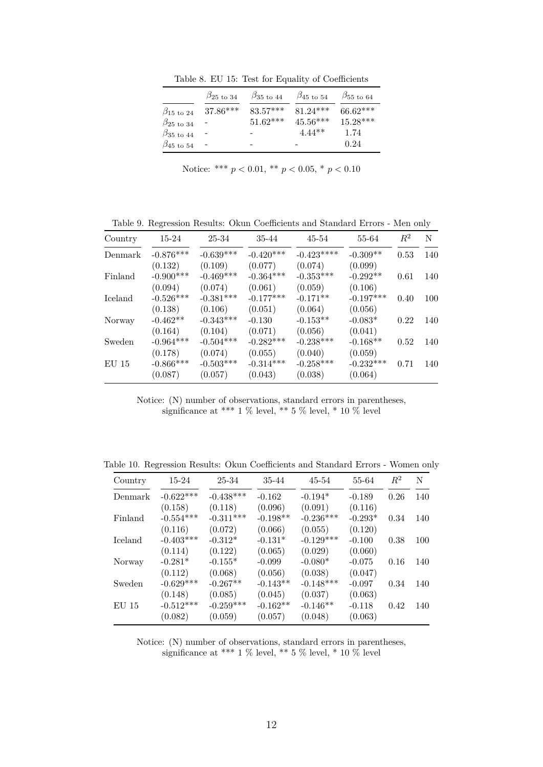Table 8. EU 15: Test for Equality of Coefficients

|                                 | $\beta_{25 \text{ to } 34}$ | $\beta_{35}$ to 44 | $\beta_{45}$ to 54 | $\beta_{55\; \mathrm{to}\; 64}$ |
|---------------------------------|-----------------------------|--------------------|--------------------|---------------------------------|
| $\beta_{15 \text{ to } 24}$     | $37.86***$                  | $83.57***$         | $81.24***$         | $66.62***$                      |
| $\beta_{25\; \mathrm{to}\; 34}$ |                             | $51.62***$         | $45.56***$         | $15.28***$                      |
| $\beta_{35\; \mathrm{to}\; 44}$ |                             |                    | $4.44**$           | 1.74                            |
| $\beta_{45\; \rm to\; 54}$      |                             |                    | -                  | 0.24                            |

Notice: 
$$
***\ p < 0.01
$$
,  $**\ p < 0.05$ ,  $*$   $p < 0.10$ 

Table 9. Regression Results: Okun Coefficients and Standard Errors - Men only

| Country        | 15-24       | 25-34       | 35-44       | 45-54       | 55-64       | $R^2$ | N   |
|----------------|-------------|-------------|-------------|-------------|-------------|-------|-----|
| Denmark        | $-0.876***$ | $-0.639***$ | $-0.420***$ | $-0.423***$ | $-0.309**$  | 0.53  | 140 |
|                | (0.132)     | (0.109)     | (0.077)     | (0.074)     | (0.099)     |       |     |
| Finland        | $-0.900***$ | $-0.469***$ | $-0.364***$ | $-0.353***$ | $-0.292**$  | 0.61  | 140 |
|                | (0.094)     | (0.074)     | (0.061)     | (0.059)     | (0.106)     |       |     |
| <b>Iceland</b> | $-0.526***$ | $-0.381***$ | $-0.177***$ | $-0.171**$  | $-0.197***$ | 0.40  | 100 |
|                | (0.138)     | (0.106)     | (0.051)     | (0.064)     | (0.056)     |       |     |
| Norway         | $-0.462**$  | $-0.343***$ | $-0.130$    | $-0.153**$  | $-0.083*$   | 0.22  | 140 |
|                | (0.164)     | (0.104)     | (0.071)     | (0.056)     | (0.041)     |       |     |
| Sweden         | $-0.964***$ | $-0.504***$ | $-0.282***$ | $-0.238***$ | $-0.168**$  | 0.52  | 140 |
|                | (0.178)     | (0.074)     | (0.055)     | (0.040)     | (0.059)     |       |     |
| $EU$ 15        | $-0.866***$ | $-0.503***$ | $-0.314***$ | $-0.258***$ | $-0.232***$ | 0.71  | 140 |
|                | (0.087)     | (0.057)     | (0.043)     | (0.038)     | (0.064)     |       |     |

Notice: (N) number of observations, standard errors in parentheses, significance at \*\*\* 1 % level, \*\* 5 % level, \* 10 % level

Table 10. Regression Results: Okun Coefficients and Standard Errors - Women only

| Country        | 15-24       | 25-34       | 35-44      | 45-54       | 55-64     | $R^2$ | N   |
|----------------|-------------|-------------|------------|-------------|-----------|-------|-----|
| Denmark        | $-0.622***$ | $-0.438***$ | $-0.162$   | $-0.194*$   | $-0.189$  | 0.26  | 140 |
|                | (0.158)     | (0.118)     | (0.096)    | (0.091)     | (0.116)   |       |     |
| Finland        | $-0.554***$ | $-0.311***$ | $-0.198**$ | $-0.236***$ | $-0.293*$ | 0.34  | 140 |
|                | (0.116)     | (0.072)     | (0.066)    | (0.055)     | (0.120)   |       |     |
| <b>Iceland</b> | $-0.403***$ | $-0.312*$   | $-0.131*$  | $-0.129***$ | $-0.100$  | 0.38  | 100 |
|                | (0.114)     | (0.122)     | (0.065)    | (0.029)     | (0.060)   |       |     |
| Norway         | $-0.281*$   | $-0.155*$   | $-0.099$   | $-0.080*$   | $-0.075$  | 0.16  | 140 |
|                | (0.112)     | (0.068)     | (0.056)    | (0.038)     | (0.047)   |       |     |
| Sweden         | $-0.629***$ | $-0.267**$  | $-0.143**$ | $-0.148***$ | $-0.097$  | 0.34  | 140 |
|                | (0.148)     | (0.085)     | (0.045)    | (0.037)     | (0.063)   |       |     |
| <b>EU 15</b>   | $-0.512***$ | $-0.259***$ | $-0.162**$ | $-0.146**$  | $-0.118$  | 0.42  | 140 |
|                | (0.082)     | (0.059)     | (0.057)    | (0.048)     | (0.063)   |       |     |

Notice: (N) number of observations, standard errors in parentheses, significance at \*\*\* 1 % level, \*\* 5 % level, \* 10 % level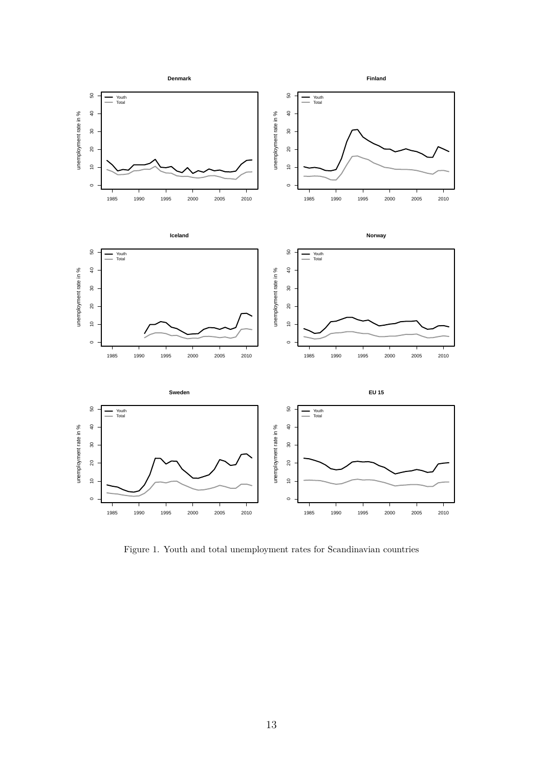

Figure 1. Youth and total unemployment rates for Scandinavian countries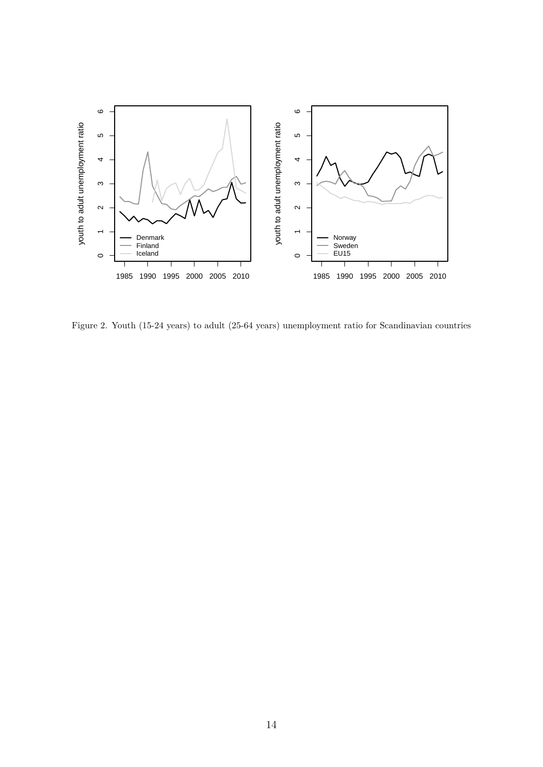

Figure 2. Youth (15-24 years) to adult (25-64 years) unemployment ratio for Scandinavian countries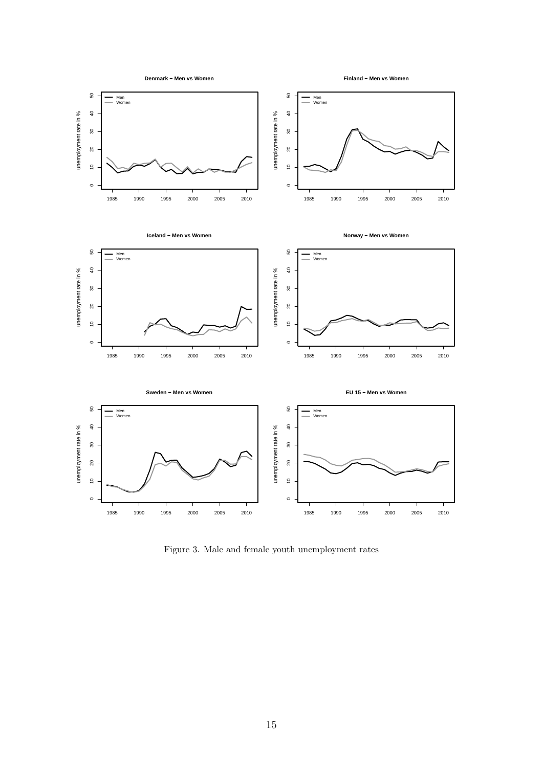

Figure 3. Male and female youth unemployment rates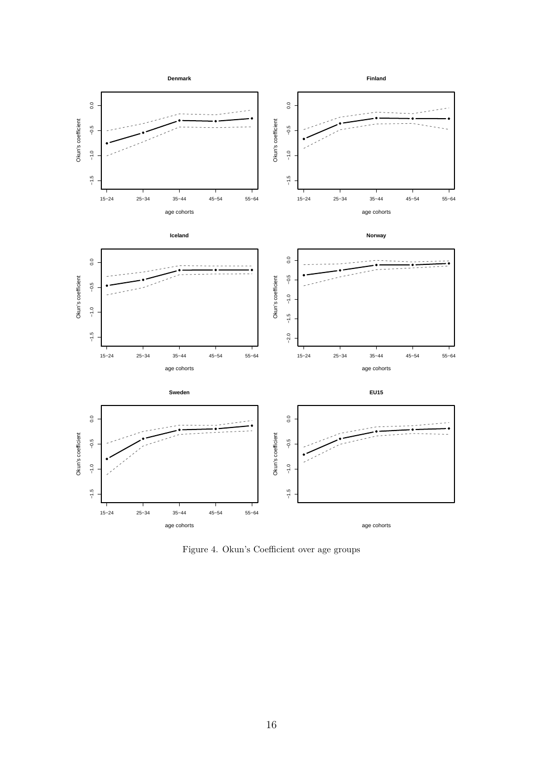

Figure 4. Okun's Coefficient over age groups